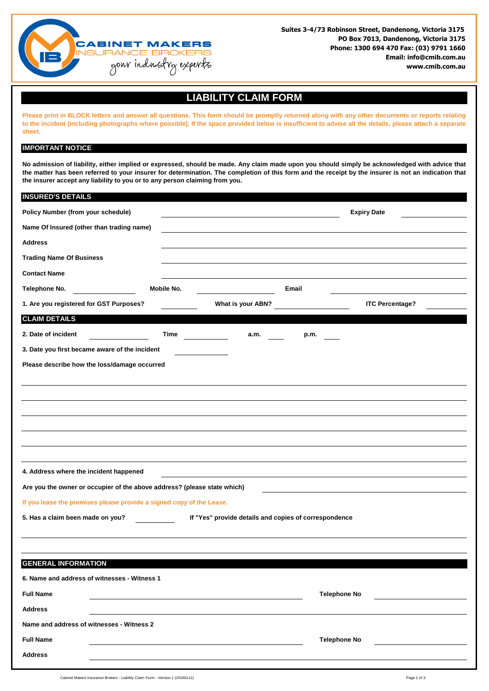

**Suites 3-4/73 Robinson Street, Dandenong, Victoria 3175 PO Box 7013, Dandenong, Victoria 3175 Phone: 1300 694 470 Fax: (03) 9791 1660 Email: info@cmib.com.au www.cmib.com.au** 

## **LIABILITY CLAIM FORM**

Please print in BLOCK letters and answer all questions. This form should be promptly returned along with any other documents or reports relating to the incident (including photographs where possible). If the space provided below is insufficient to advise all the details, please attach a separate **sheet.**

## **IMPORTANT NOTICE**

No admission of liability, either implied or expressed, should be made. Any claim made upon you should simply be acknowledged with advice that the matter has been referred to your insurer for determination. The completion of this form and the receipt by the insurer is not an indication that **the insurer accept any liability to you or to any person claiming from you.**

| <b>INSURED'S DETAILS</b>                                                 |            |                                                       |                     |                        |  |
|--------------------------------------------------------------------------|------------|-------------------------------------------------------|---------------------|------------------------|--|
| Policy Number (from your schedule)                                       |            |                                                       | <b>Expiry Date</b>  |                        |  |
| Name Of Insured (other than trading name)                                |            |                                                       |                     |                        |  |
| <b>Address</b>                                                           |            |                                                       |                     |                        |  |
| <b>Trading Name Of Business</b>                                          |            |                                                       |                     |                        |  |
| <b>Contact Name</b>                                                      |            |                                                       |                     |                        |  |
| Telephone No.                                                            | Mobile No. |                                                       | Email               |                        |  |
| 1. Are you registered for GST Purposes?                                  |            | What is your ABN?                                     |                     | <b>ITC Percentage?</b> |  |
| <b>CLAIM DETAILS</b>                                                     |            |                                                       |                     |                        |  |
| 2. Date of incident                                                      | Time       | a.m.                                                  | p.m.                |                        |  |
| 3. Date you first became aware of the incident                           |            |                                                       |                     |                        |  |
| Please describe how the loss/damage occurred                             |            |                                                       |                     |                        |  |
|                                                                          |            |                                                       |                     |                        |  |
|                                                                          |            |                                                       |                     |                        |  |
|                                                                          |            |                                                       |                     |                        |  |
|                                                                          |            |                                                       |                     |                        |  |
|                                                                          |            |                                                       |                     |                        |  |
|                                                                          |            |                                                       |                     |                        |  |
|                                                                          |            |                                                       |                     |                        |  |
| 4. Address where the incident happened                                   |            |                                                       |                     |                        |  |
| Are you the owner or occupier of the above address? (please state which) |            |                                                       |                     |                        |  |
| If you lease the premises please provide a signed copy of the Lease.     |            |                                                       |                     |                        |  |
| 5. Has a claim been made on you?                                         |            | If "Yes" provide details and copies of correspondence |                     |                        |  |
|                                                                          |            |                                                       |                     |                        |  |
|                                                                          |            |                                                       |                     |                        |  |
| <b>GENERAL INFORMATION</b>                                               |            |                                                       |                     |                        |  |
| 6. Name and address of witnesses - Witness 1                             |            |                                                       |                     |                        |  |
| <b>Full Name</b>                                                         |            |                                                       | <b>Telephone No</b> |                        |  |
| <b>Address</b>                                                           |            |                                                       |                     |                        |  |
| Name and address of witnesses - Witness 2                                |            |                                                       |                     |                        |  |
| <b>Full Name</b>                                                         |            |                                                       | <b>Telephone No</b> |                        |  |
| <b>Address</b>                                                           |            |                                                       |                     |                        |  |
|                                                                          |            |                                                       |                     |                        |  |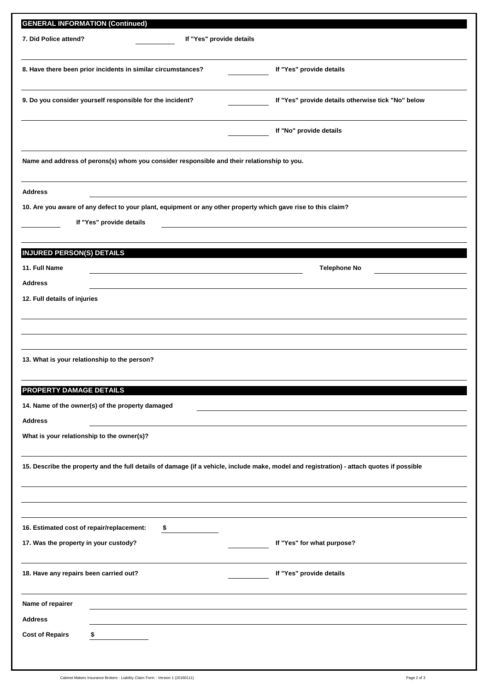| <b>GENERAL INFORMATION (Continued)</b>                                                                        |    |  |                                                                                                                                           |  |  |  |  |
|---------------------------------------------------------------------------------------------------------------|----|--|-------------------------------------------------------------------------------------------------------------------------------------------|--|--|--|--|
| 7. Did Police attend?<br>If "Yes" provide details                                                             |    |  |                                                                                                                                           |  |  |  |  |
|                                                                                                               |    |  |                                                                                                                                           |  |  |  |  |
| 8. Have there been prior incidents in similar circumstances?                                                  |    |  | If "Yes" provide details                                                                                                                  |  |  |  |  |
| 9. Do you consider yourself responsible for the incident?                                                     |    |  | If "Yes" provide details otherwise tick "No" below                                                                                        |  |  |  |  |
|                                                                                                               |    |  | If "No" provide details                                                                                                                   |  |  |  |  |
| Name and address of perons(s) whom you consider responsible and their relationship to you.                    |    |  |                                                                                                                                           |  |  |  |  |
| <b>Address</b>                                                                                                |    |  |                                                                                                                                           |  |  |  |  |
| 10. Are you aware of any defect to your plant, equipment or any other property which gave rise to this claim? |    |  |                                                                                                                                           |  |  |  |  |
| If "Yes" provide details                                                                                      |    |  |                                                                                                                                           |  |  |  |  |
|                                                                                                               |    |  |                                                                                                                                           |  |  |  |  |
| <b>INJURED PERSON(S) DETAILS</b>                                                                              |    |  |                                                                                                                                           |  |  |  |  |
| 11. Full Name                                                                                                 |    |  | <b>Telephone No</b>                                                                                                                       |  |  |  |  |
| <b>Address</b>                                                                                                |    |  |                                                                                                                                           |  |  |  |  |
| 12. Full details of injuries                                                                                  |    |  |                                                                                                                                           |  |  |  |  |
|                                                                                                               |    |  |                                                                                                                                           |  |  |  |  |
|                                                                                                               |    |  |                                                                                                                                           |  |  |  |  |
|                                                                                                               |    |  |                                                                                                                                           |  |  |  |  |
| 13. What is your relationship to the person?                                                                  |    |  |                                                                                                                                           |  |  |  |  |
| PROPERTY DAMAGE DETAILS                                                                                       |    |  |                                                                                                                                           |  |  |  |  |
| 14. Name of the owner(s) of the property damaged                                                              |    |  |                                                                                                                                           |  |  |  |  |
| <b>Address</b>                                                                                                |    |  |                                                                                                                                           |  |  |  |  |
| What is your relationship to the owner(s)?                                                                    |    |  |                                                                                                                                           |  |  |  |  |
|                                                                                                               |    |  |                                                                                                                                           |  |  |  |  |
|                                                                                                               |    |  | 15. Describe the property and the full details of damage (if a vehicle, include make, model and registration) - attach quotes if possible |  |  |  |  |
|                                                                                                               |    |  |                                                                                                                                           |  |  |  |  |
|                                                                                                               |    |  |                                                                                                                                           |  |  |  |  |
| 16. Estimated cost of repair/replacement:                                                                     | \$ |  |                                                                                                                                           |  |  |  |  |
| 17. Was the property in your custody?                                                                         |    |  | If "Yes" for what purpose?                                                                                                                |  |  |  |  |
|                                                                                                               |    |  |                                                                                                                                           |  |  |  |  |
| 18. Have any repairs been carried out?                                                                        |    |  | If "Yes" provide details                                                                                                                  |  |  |  |  |
| Name of repairer                                                                                              |    |  |                                                                                                                                           |  |  |  |  |
| <b>Address</b>                                                                                                |    |  |                                                                                                                                           |  |  |  |  |
| <b>Cost of Repairs</b><br>\$                                                                                  |    |  |                                                                                                                                           |  |  |  |  |
|                                                                                                               |    |  |                                                                                                                                           |  |  |  |  |